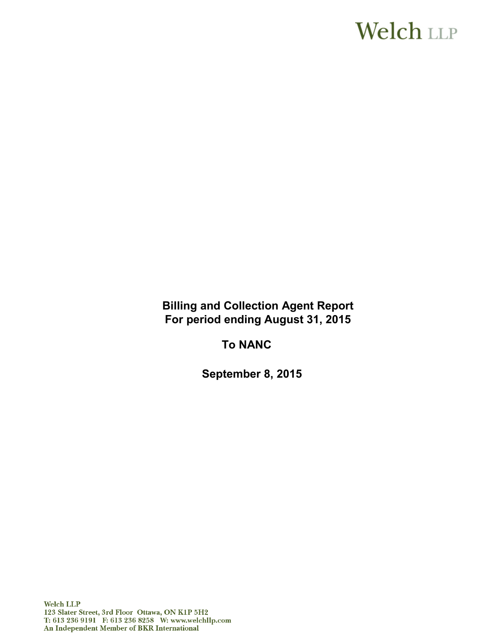# **Welch LLP**

**Billing and Collection Agent Report For period ending August 31, 2015** 

**To NANC**

**September 8, 2015**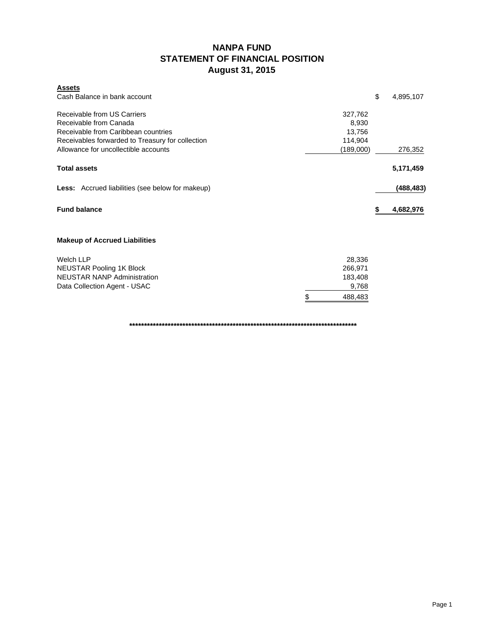### **NANPA FUND STATEMENT OF FINANCIAL POSITION August 31, 2015**

| <b>Assets</b><br>Cash Balance in bank account                                            |                  | \$<br>4,895,107 |
|------------------------------------------------------------------------------------------|------------------|-----------------|
| Receivable from US Carriers<br>Receivable from Canada                                    | 327,762<br>8,930 |                 |
| Receivable from Caribbean countries                                                      | 13,756           |                 |
| Receivables forwarded to Treasury for collection<br>Allowance for uncollectible accounts | 114,904          |                 |
|                                                                                          | (189,000)        | 276,352         |
| <b>Total assets</b>                                                                      |                  | 5,171,459       |
| <b>Less:</b> Accrued liabilities (see below for makeup)                                  |                  | (488, 483)      |
| <b>Fund balance</b>                                                                      |                  | 4,682,976       |
| <b>Makeup of Accrued Liabilities</b>                                                     |                  |                 |
| Welch LLP                                                                                | 28,336           |                 |
| <b>NEUSTAR Pooling 1K Block</b>                                                          | 266,971          |                 |
| <b>NEUSTAR NANP Administration</b>                                                       | 183,408          |                 |
| Data Collection Agent - USAC                                                             | 9,768            |                 |
|                                                                                          | \$<br>488,483    |                 |

**\*\*\*\*\*\*\*\*\*\*\*\*\*\*\*\*\*\*\*\*\*\*\*\*\*\*\*\*\*\*\*\*\*\*\*\*\*\*\*\*\*\*\*\*\*\*\*\*\*\*\*\*\*\*\*\*\*\*\*\*\*\*\*\*\*\*\*\*\*\*\*\*\*\*\*\*\***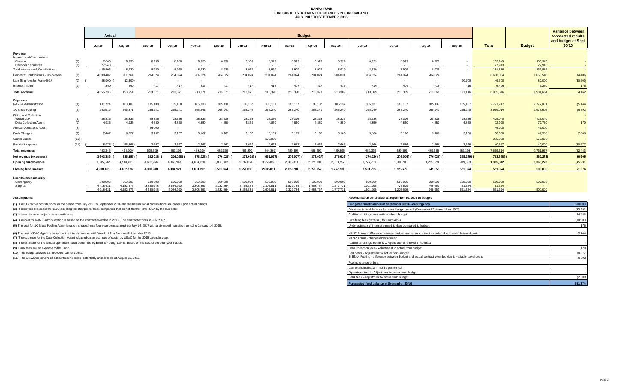#### **NANPA FUND FORECASTED STATEMENT OF CHANGES IN FUND BALANCE JULY 2015 TO SEPTEMBER 2016**

|                                                                     |            | Actual                 | <b>Budget</b>          |                        |                        |                        |                        |                        |                        |                        |                        |                        |                        |                      | <b>Variance between</b><br>forecasted results |                   |                   |                   |                    |
|---------------------------------------------------------------------|------------|------------------------|------------------------|------------------------|------------------------|------------------------|------------------------|------------------------|------------------------|------------------------|------------------------|------------------------|------------------------|----------------------|-----------------------------------------------|-------------------|-------------------|-------------------|--------------------|
|                                                                     |            |                        |                        |                        |                        |                        |                        |                        |                        |                        |                        |                        |                        |                      |                                               |                   |                   |                   | and budget at Sept |
|                                                                     |            | <b>Jul-15</b>          | Aug-15                 | Sep-15                 | Oct-15                 | <b>Nov-15</b>          | <b>Dec-15</b>          | <b>Jan-16</b>          | Feb-16                 | Mar-16                 | Apr-16                 | Mav-16                 | <b>Jun-16</b>          | <b>Jul-16</b>        | Aug-16                                        | Sep-16            | <b>Total</b>      | <b>Budget</b>     | 30/16              |
| Revenue<br><b>International Contributions</b>                       |            |                        |                        |                        |                        |                        |                        |                        |                        |                        |                        |                        |                        |                      |                                               |                   |                   |                   |                    |
| Canada<br>Caribbean countries                                       | (1)<br>(1) | 17,860<br>27.943       | 8,930<br>$\sim$        | 8,930<br>$\sim$ $-$    | 8,930<br>$\sim$ $\sim$ | 8,930<br>$\sim$ $-$    | 8,930                  | 8,930<br>$\sim$ $-$    | 8.929                  | 8,929<br>$\sim$ $-$    | 8.929<br>$\sim$        | 8,929<br>$\sim$ $-$    | 8,929<br>$\sim$        | 8,929<br>$\sim$      | 8,929<br>$\sim$                               | $\sim$            | 133,943<br>27,943 | 133,943<br>27,943 |                    |
| <b>Total International Contributions</b>                            |            | 45,803                 | 8,930                  | 8,930                  | 8,930                  | 8,930                  | 8,930                  | 8,930                  | 8.929                  | 8,929                  | 8.929                  | 8.929                  | 8,929                  | 8.929                | 8.929                                         | $\sim$            | 161,886           | 161,886           |                    |
| Domestic Contributions - US carriers                                | (1)        | 4.038.482              | 201,264                | 204,024                | 204,024                | 204,024                | 204,024                | 204,024                | 204,024                | 204,024                | 204.024                | 204,024                | 204,024                | 204,024              | 204,024                                       |                   | 6.688.034         | 6,653,548         | 34,486             |
| Late filing fees for Form 499A                                      | (2)        | 28,900)                | 12,300)                | $\sim$                 |                        | $\sim$                 |                        |                        |                        |                        |                        |                        |                        |                      |                                               | 90.700            | 49,500            | 80,000            | (30, 500)          |
| Interest income                                                     | (3)        | 350                    | 660                    | 417                    | 417                    | 417                    | 417                    | 417                    | 417                    | 417                    | 417                    | 416                    | 416                    | 416                  | 416                                           | 416               | 6,426             | 6.250             | 176                |
| <b>Total revenue</b>                                                |            | 4.055.735              | 198,554                | 213,371                | 213,371                | 213,371                | 213,371                | 213,371                | 213,370                | 213,370                | 213,370                | 213,369                | 213,369                | 213,369              | 213,369                                       | 91.116            | 6.905.846         | 6.901.684         | 4,162              |
| <b>Expenses</b><br><b>NANPA Administration</b>                      |            |                        |                        |                        |                        |                        |                        |                        |                        |                        |                        |                        |                        |                      |                                               |                   |                   |                   |                    |
|                                                                     | (4)        | 181,724                | 183,408                | 185,138                | 185,138                | 185,138                | 185,138                | 185,137                | 185,137                | 185,137                | 185,137                | 185,137                | 185,137                | 185,137              | 185,137                                       | 185,137           | 2,771,917         | 2,777,061         | (5, 144)           |
| 1K Block Pooling                                                    | (5)        | 253,919                | 266,971                | 265,241                | 265,241                | 265,241                | 265,241                | 265,240                | 265,240                | 265,240                | 265,240                | 265,240                | 265,240                | 265,240              | 265,240                                       | 265,240           | 3,969,014         | 3,978,606         | (9, 592)           |
| <b>Billing and Collection</b><br>Welch LLP<br>Data Collection Agent | (6)<br>(7) | 28,336<br>4,935        | 28,336<br>4,935        | 28,336<br>4,850        | 28,336<br>4,850        | 28,336<br>4,850        | 28,336<br>4,850        | 28,336<br>4,850        | 28,336<br>4,850        | 28,336<br>4,850        | 28,336<br>4,850        | 28,336<br>4,850        | 28,336<br>4,850        | 28,336<br>4,850      | 28,336<br>4,850                               | 28,336<br>4.850   | 425,040<br>72,920 | 425,040<br>72,750 | 170                |
| <b>Annual Operations Audit</b>                                      | (8)        | $\sim$ $-$             | $\sim$                 | 46,000                 | $\sim$                 | $\sim$ $-$             | $\sim$ $\sim$          | $\sim$ $-$             | $\sim$                 | $\sim$                 | $\sim$                 |                        | $\sim$                 | $\sim$               | $\sim$                                        | $\sim$            | 46,000            | 46,000            |                    |
| <b>Bank Charges</b>                                                 | (9)        | 2,407                  | 6,727                  | 3,167                  | 3.167                  | 3,167                  | 3.167                  | 3,167                  | 3.167                  | 3,167                  | 3.167                  | 3.166                  | 3,166                  | 3,166                | 3.166                                         | 3.166             | 50,300            | 47,500            | 2,800              |
| Carrier Audits                                                      | (10)       | $\sim$                 | $\sim$                 | $\sim$                 | $\sim$                 | $\sim$                 | $\sim$                 |                        | 375,000                | $\sim$                 |                        |                        |                        |                      |                                               | $\sim$            | 375,000           | 375,000           |                    |
| Bad debt expense                                                    | (11)       | 18.975)                | 56,368)                | 2,667                  | 2,667                  | 2,667                  | 2,667                  | 2,667                  | 2,667                  | 2,667                  | 2,667                  | 2,666                  | 2.666                  | 2.666                | 2,666                                         | 2.666             | 40,677            | 40,000            | (80, 677)          |
| <b>Total expenses</b>                                               |            | 452.346                | 434,009                | 535,399                | 489,399                | 489,399                | 489,399                | 489,397                | 864,397                | 489,397                | 489,397                | 489,395                | 489,395                | 489,395              | 489,395                                       | 489,395           | 7,669,514         | 7,761,957         | (92, 443)          |
| Net revenue (expenses)                                              |            | 3,603,389              | 235,455)               | 322,028)               | 276,028)               | 276,028)               | 276,028)               | 276,026)               | 651,027)               | 276,027)               | 276,027)               | 276,026)               | 276,026)               | 276,026)             | 276,026) (                                    | 398,279)          | 763,668)          | 860,273)          | 96,605             |
| <b>Opening fund balance</b>                                         |            | 1,315,042              | 4,918,431              | 4.682.976              | 4.360.948              | 4,084,920              | 3.808.892              | 3,532,864              | 3,256,838              | 2,605,811              | 2,329,784              | 2,053,757              | 1,777,731              | 1,501,705            | 1,225,679                                     | 949.653           | 1.315.042         | 1.360.273         | (45, 231)          |
| Closing fund balance                                                |            | 4.918.431              | 4,682,976              | 4,360,948              | 4.084.920              | 3.808.892              | 3.532.864              | 3.256.838              | 2.605.811              | 2,329,784              | 2,053,757              | 1,777,731              | 1,501,705              | 1.225.679            | 949.653                                       | 551.374           | 551.374           | 500,000           | 51,374             |
| Fund balance makeup:                                                |            |                        |                        |                        |                        |                        |                        |                        |                        |                        |                        |                        |                        |                      |                                               |                   |                   |                   |                    |
| Contingency                                                         |            | 500,000                | 500,000                | 500,000                | 500,000                | 500,000                | 500,000                | 500,000                | 500,000                | 500,000                | 500,000                | 500,000                | 500,000                | 500,000              | 500,000                                       | 500,000           | 500,000           | 500,000           |                    |
| Surplus                                                             |            | 4.418.431<br>4.918.431 | 4.182.976<br>4.682.976 | 3.860.948<br>4.360.948 | 3.584.920<br>4.084.920 | 3.308.892<br>3.808.892 | 3.032.864<br>3.532.864 | 2.756.838<br>3.256.838 | 2,105,811<br>2.605.811 | 1.829.784<br>2.329.784 | 1.553.757<br>2.053.757 | 1,277,731<br>1,777,731 | 1.001.705<br>1.501.705 | 725,679<br>1.225.679 | 449.653<br>949.653                            | 51,374<br>551.374 | 51,374<br>551.374 | 500,000           |                    |

**(1)** The US carrier contributions for the period from July 2015 to September 2016 and the International contributions are based upon actual billings.

(2) These fees represent the \$100 late filing fee charged to those companies that do not file the Form 499A by the due date.

**(3)** Interest income projections are estimates

**(4)** The cost for NANP Administration is based on the contract awarded in 2013. The contract expires in July 2017.

(5) The cost for 1K Block Pooling Administration is based on a four-year contract expiring July 14, 2017 with a six-month transition period to January 14, 2018.

**(6)** The cost of B&C Agent is based on the interim contract with Welch LLP in force until November 2015.

**(7)** The expense for the Data Collection Agent is based on an estimate of costs by USAC for the 2015 calendar year.

**(8)** The estimate for the annual operations audit performed by Ernst & Young LLP is based on the cost of the prior year's audit.

**(9)** Bank fees are an expense to the Fund.

**(10)** The budget allowed \$375,000 for carrier audits.

**(11)** The allowance covers all accounts considered potentially uncollectible at August 31, 2015.

**Assumptions: Reconciliation of forecast at September 30, 2016 to budget**

| Budgeted fund balance at September 30/16 - contingency                                                | 500,000   |
|-------------------------------------------------------------------------------------------------------|-----------|
| Decrease in fund balance between budget period (December 2014) and June 2015                          | (45, 231) |
| Additional billings over estimate from budget                                                         | 34.486    |
| Late filing fees (reversal) for Form 499A                                                             | (30, 500) |
| Underestimate of interest earned to date compared to budget                                           | 176       |
| NANP Admin - difference between budget and actual contract awarded due to variable travel costs       | 5.144     |
| NANP Admin - change orders issued                                                                     |           |
| Additional billings from B & C Agent due to renewal of contract                                       |           |
| Data Collection fees - Adjustment to actual from budget                                               | (170)     |
| Bad debts - Adjustment to actual from budget                                                          | 80.677    |
| IK Block Pooling - difference between budget and actual contract awarded due to variable travel costs | 9.592     |
| Pooling change orders                                                                                 |           |
| Carrier audits that will not be performed                                                             |           |
| Operations Audit - Adjustment to actual from budget                                                   | $\sim$    |
| Bank fees - Adjustment to actual from budget                                                          | (2,800)   |
| Forecasted fund balance at September 30/16                                                            | 551.374   |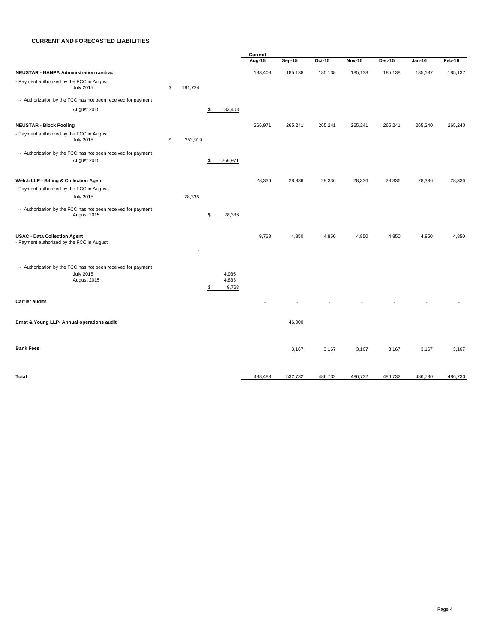#### **CURRENT AND FORECASTED LIABILITIES**

|                                                                                  | Current |         |                      |         |               |         |               |         |               |          |
|----------------------------------------------------------------------------------|---------|---------|----------------------|---------|---------------|---------|---------------|---------|---------------|----------|
|                                                                                  |         |         |                      | Aug-15  | <b>Sep-15</b> | Oct-15  | <b>Nov-15</b> | Dec-15  | <b>Jan-16</b> | $Feb-16$ |
| <b>NEUSTAR - NANPA Administration contract</b>                                   |         |         |                      | 183,408 | 185,138       | 185,138 | 185,138       | 185,138 | 185,137       | 185,137  |
| - Payment authorized by the FCC in August<br><b>July 2015</b>                    | \$      | 181,724 |                      |         |               |         |               |         |               |          |
| - Authorization by the FCC has not been received for payment                     |         |         |                      |         |               |         |               |         |               |          |
| August 2015                                                                      |         |         | \$<br>183,408        |         |               |         |               |         |               |          |
|                                                                                  |         |         |                      |         |               |         |               |         |               |          |
| <b>NEUSTAR - Block Pooling</b>                                                   |         |         |                      | 266,971 | 265,241       | 265,241 | 265,241       | 265,241 | 265,240       | 265,240  |
| - Payment authorized by the FCC in August<br><b>July 2015</b>                    | \$      | 253,919 |                      |         |               |         |               |         |               |          |
| - Authorization by the FCC has not been received for payment<br>August 2015      |         |         | 266,971<br>\$        |         |               |         |               |         |               |          |
| Welch LLP - Billing & Collection Agent                                           |         |         |                      | 28,336  | 28,336        | 28,336  | 28,336        | 28,336  | 28,336        | 28,336   |
| - Payment authorized by the FCC in August                                        |         |         |                      |         |               |         |               |         |               |          |
| <b>July 2015</b>                                                                 |         | 28,336  |                      |         |               |         |               |         |               |          |
| - Authorization by the FCC has not been received for payment<br>August 2015      |         |         | 28,336<br>\$         |         |               |         |               |         |               |          |
| <b>USAC - Data Collection Agent</b><br>- Payment authorized by the FCC in August |         |         |                      | 9,768   | 4,850         | 4,850   | 4,850         | 4,850   | 4,850         | 4,850    |
| $\overline{\phantom{a}}$                                                         |         |         |                      |         |               |         |               |         |               |          |
| - Authorization by the FCC has not been received for payment<br><b>July 2015</b> |         |         | 4,935                |         |               |         |               |         |               |          |
| August 2015                                                                      |         |         | 4,833<br>\$<br>9,768 |         |               |         |               |         |               |          |
| <b>Carrier audits</b>                                                            |         |         |                      |         |               |         |               |         |               |          |
| Ernst & Young LLP- Annual operations audit                                       |         |         |                      |         | 46,000        |         |               |         |               |          |
| <b>Bank Fees</b>                                                                 |         |         |                      |         | 3,167         | 3,167   | 3,167         | 3,167   | 3,167         | 3,167    |
| Total                                                                            |         |         |                      | 488,483 | 532,732       | 486,732 | 486,732       | 486,732 | 486,730       | 486,730  |